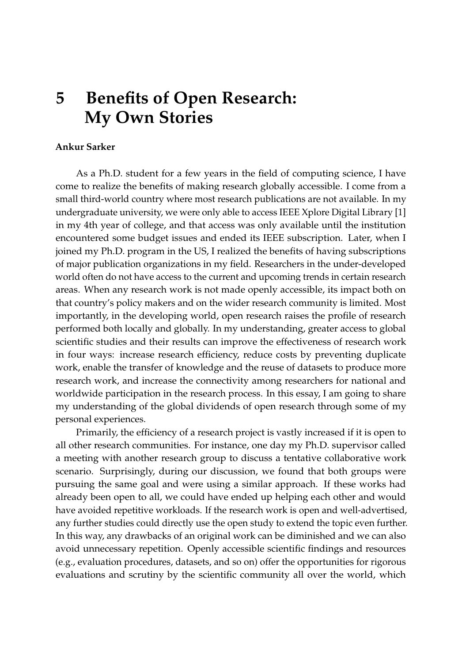## **5 Benefits of Open Research: My Own Stories**

## **Ankur Sarker**

As a Ph.D. student for a few years in the field of computing science, I have come to realize the benefits of making research globally accessible. I come from a small third-world country where most research publications are not available. In my undergraduate university, we were only able to access IEEE Xplore Digital Library [\[1\]](#page-2-0) in my 4th year of college, and that access was only available until the institution encountered some budget issues and ended its IEEE subscription. Later, when I joined my Ph.D. program in the US, I realized the benefits of having subscriptions of major publication organizations in my field. Researchers in the under-developed world often do not have access to the current and upcoming trends in certain research areas. When any research work is not made openly accessible, its impact both on that country's policy makers and on the wider research community is limited. Most importantly, in the developing world, open research raises the profile of research performed both locally and globally. In my understanding, greater access to global scientific studies and their results can improve the effectiveness of research work in four ways: increase research efficiency, reduce costs by preventing duplicate work, enable the transfer of knowledge and the reuse of datasets to produce more research work, and increase the connectivity among researchers for national and worldwide participation in the research process. In this essay, I am going to share my understanding of the global dividends of open research through some of my personal experiences.

Primarily, the efficiency of a research project is vastly increased if it is open to all other research communities. For instance, one day my Ph.D. supervisor called a meeting with another research group to discuss a tentative collaborative work scenario. Surprisingly, during our discussion, we found that both groups were pursuing the same goal and were using a similar approach. If these works had already been open to all, we could have ended up helping each other and would have avoided repetitive workloads. If the research work is open and well-advertised, any further studies could directly use the open study to extend the topic even further. In this way, any drawbacks of an original work can be diminished and we can also avoid unnecessary repetition. Openly accessible scientific findings and resources (e.g., evaluation procedures, datasets, and so on) offer the opportunities for rigorous evaluations and scrutiny by the scientific community all over the world, which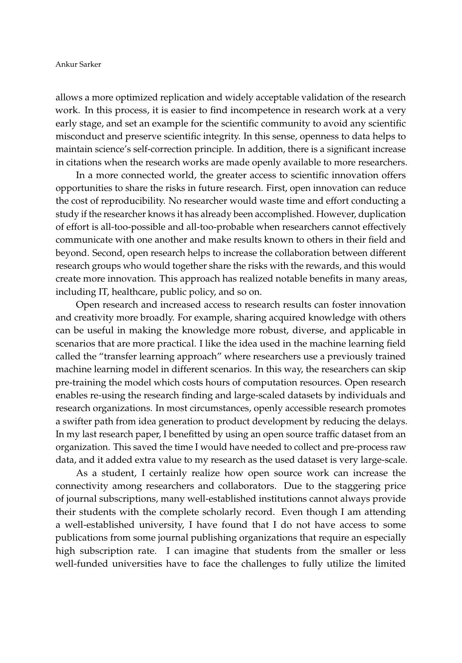allows a more optimized replication and widely acceptable validation of the research work. In this process, it is easier to find incompetence in research work at a very early stage, and set an example for the scientific community to avoid any scientific misconduct and preserve scientific integrity. In this sense, openness to data helps to maintain science's self-correction principle. In addition, there is a significant increase in citations when the research works are made openly available to more researchers.

In a more connected world, the greater access to scientific innovation offers opportunities to share the risks in future research. First, open innovation can reduce the cost of reproducibility. No researcher would waste time and effort conducting a study if the researcher knows it has already been accomplished. However, duplication of effort is all-too-possible and all-too-probable when researchers cannot effectively communicate with one another and make results known to others in their field and beyond. Second, open research helps to increase the collaboration between different research groups who would together share the risks with the rewards, and this would create more innovation. This approach has realized notable benefits in many areas, including IT, healthcare, public policy, and so on.

Open research and increased access to research results can foster innovation and creativity more broadly. For example, sharing acquired knowledge with others can be useful in making the knowledge more robust, diverse, and applicable in scenarios that are more practical. I like the idea used in the machine learning field called the "transfer learning approach" where researchers use a previously trained machine learning model in different scenarios. In this way, the researchers can skip pre-training the model which costs hours of computation resources. Open research enables re-using the research finding and large-scaled datasets by individuals and research organizations. In most circumstances, openly accessible research promotes a swifter path from idea generation to product development by reducing the delays. In my last research paper, I benefitted by using an open source traffic dataset from an organization. This saved the time I would have needed to collect and pre-process raw data, and it added extra value to my research as the used dataset is very large-scale.

As a student, I certainly realize how open source work can increase the connectivity among researchers and collaborators. Due to the staggering price of journal subscriptions, many well-established institutions cannot always provide their students with the complete scholarly record. Even though I am attending a well-established university, I have found that I do not have access to some publications from some journal publishing organizations that require an especially high subscription rate. I can imagine that students from the smaller or less well-funded universities have to face the challenges to fully utilize the limited